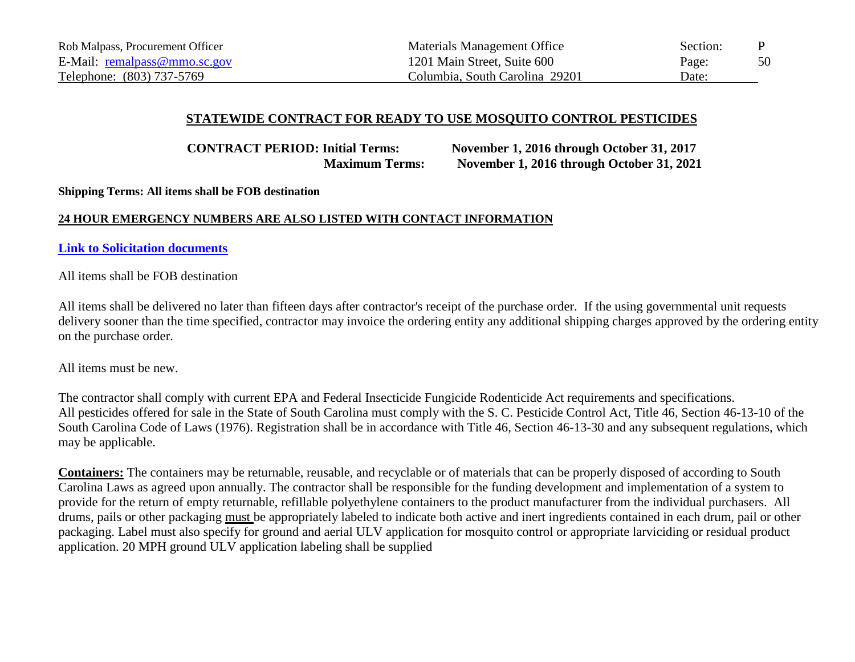# **STATEWIDE CONTRACT FOR READY TO USE MOSQUITO CONTROL PESTICIDES**

**CONTRACT PERIOD: Initial Terms: November 1, 2016 through October 31, 2017 Maximum Terms: November 1, 2016 through October 31, 2021**

**Shipping Terms: All items shall be FOB destination**

## **24 HOUR EMERGENCY NUMBERS ARE ALSO LISTED WITH CONTACT INFORMATION**

**[Link to Solicitation documents](http://webprod.cio.sc.gov/SCSolicitationWeb/solicitationAttachment.do?solicitnumber=5400011346)**

All items shall be FOB destination

All items shall be delivered no later than fifteen days after contractor's receipt of the purchase order. If the using governmental unit requests delivery sooner than the time specified, contractor may invoice the ordering entity any additional shipping charges approved by the ordering entity on the purchase order.

All items must be new.

The contractor shall comply with current EPA and Federal Insecticide Fungicide Rodenticide Act requirements and specifications. All pesticides offered for sale in the State of South Carolina must comply with the S. C. Pesticide Control Act, Title 46, Section 46-13-10 of the South Carolina Code of Laws (1976). Registration shall be in accordance with Title 46, Section 46-13-30 and any subsequent regulations, which may be applicable.

**Containers:** The containers may be returnable, reusable, and recyclable or of materials that can be properly disposed of according to South Carolina Laws as agreed upon annually. The contractor shall be responsible for the funding development and implementation of a system to provide for the return of empty returnable, refillable polyethylene containers to the product manufacturer from the individual purchasers. All drums, pails or other packaging must be appropriately labeled to indicate both active and inert ingredients contained in each drum, pail or other packaging. Label must also specify for ground and aerial ULV application for mosquito control or appropriate larviciding or residual product application. 20 MPH ground ULV application labeling shall be supplied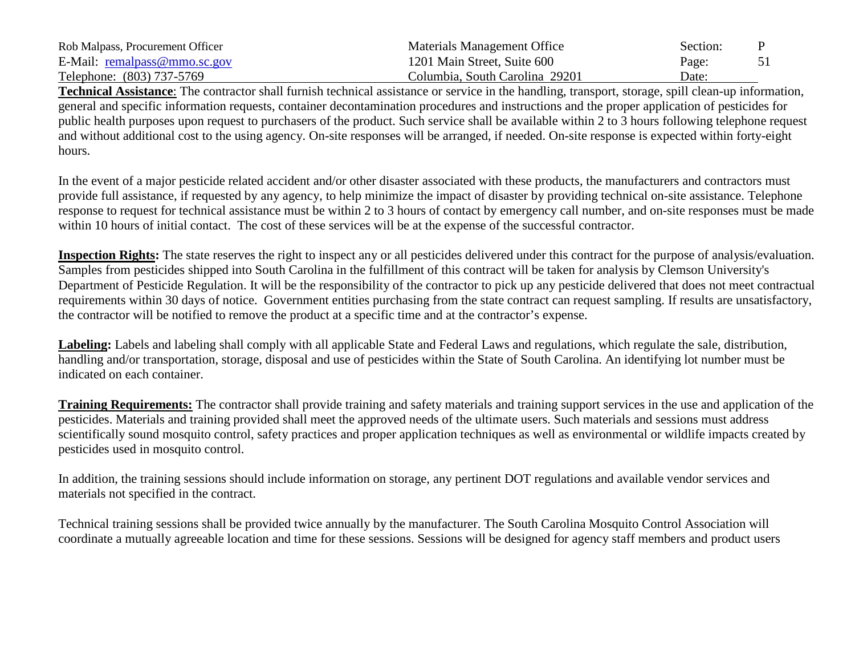| Rob Malpass, Procurement Officer | Materials Management Office    | Section: |  |
|----------------------------------|--------------------------------|----------|--|
| E-Mail: remalpass@mmo.sc.gov     | 1201 Main Street, Suite 600    | Page:    |  |
| Telephone: (803) 737-5769        | Columbia, South Carolina 29201 | Date:    |  |

**Technical Assistance**: The contractor shall furnish technical assistance or service in the handling, transport, storage, spill clean-up information, general and specific information requests, container decontamination procedures and instructions and the proper application of pesticides for public health purposes upon request to purchasers of the product. Such service shall be available within 2 to 3 hours following telephone request and without additional cost to the using agency. On-site responses will be arranged, if needed. On-site response is expected within forty-eight hours.

In the event of a major pesticide related accident and/or other disaster associated with these products, the manufacturers and contractors must provide full assistance, if requested by any agency, to help minimize the impact of disaster by providing technical on-site assistance. Telephone response to request for technical assistance must be within 2 to 3 hours of contact by emergency call number, and on-site responses must be made within 10 hours of initial contact. The cost of these services will be at the expense of the successful contractor.

**Inspection Rights:** The state reserves the right to inspect any or all pesticides delivered under this contract for the purpose of analysis/evaluation. Samples from pesticides shipped into South Carolina in the fulfillment of this contract will be taken for analysis by Clemson University's Department of Pesticide Regulation. It will be the responsibility of the contractor to pick up any pesticide delivered that does not meet contractual requirements within 30 days of notice. Government entities purchasing from the state contract can request sampling. If results are unsatisfactory, the contractor will be notified to remove the product at a specific time and at the contractor's expense.

**Labeling:** Labels and labeling shall comply with all applicable State and Federal Laws and regulations, which regulate the sale, distribution, handling and/or transportation, storage, disposal and use of pesticides within the State of South Carolina. An identifying lot number must be indicated on each container.

**Training Requirements:** The contractor shall provide training and safety materials and training support services in the use and application of the pesticides. Materials and training provided shall meet the approved needs of the ultimate users. Such materials and sessions must address scientifically sound mosquito control, safety practices and proper application techniques as well as environmental or wildlife impacts created by pesticides used in mosquito control.

In addition, the training sessions should include information on storage, any pertinent DOT regulations and available vendor services and materials not specified in the contract.

Technical training sessions shall be provided twice annually by the manufacturer. The South Carolina Mosquito Control Association will coordinate a mutually agreeable location and time for these sessions. Sessions will be designed for agency staff members and product users